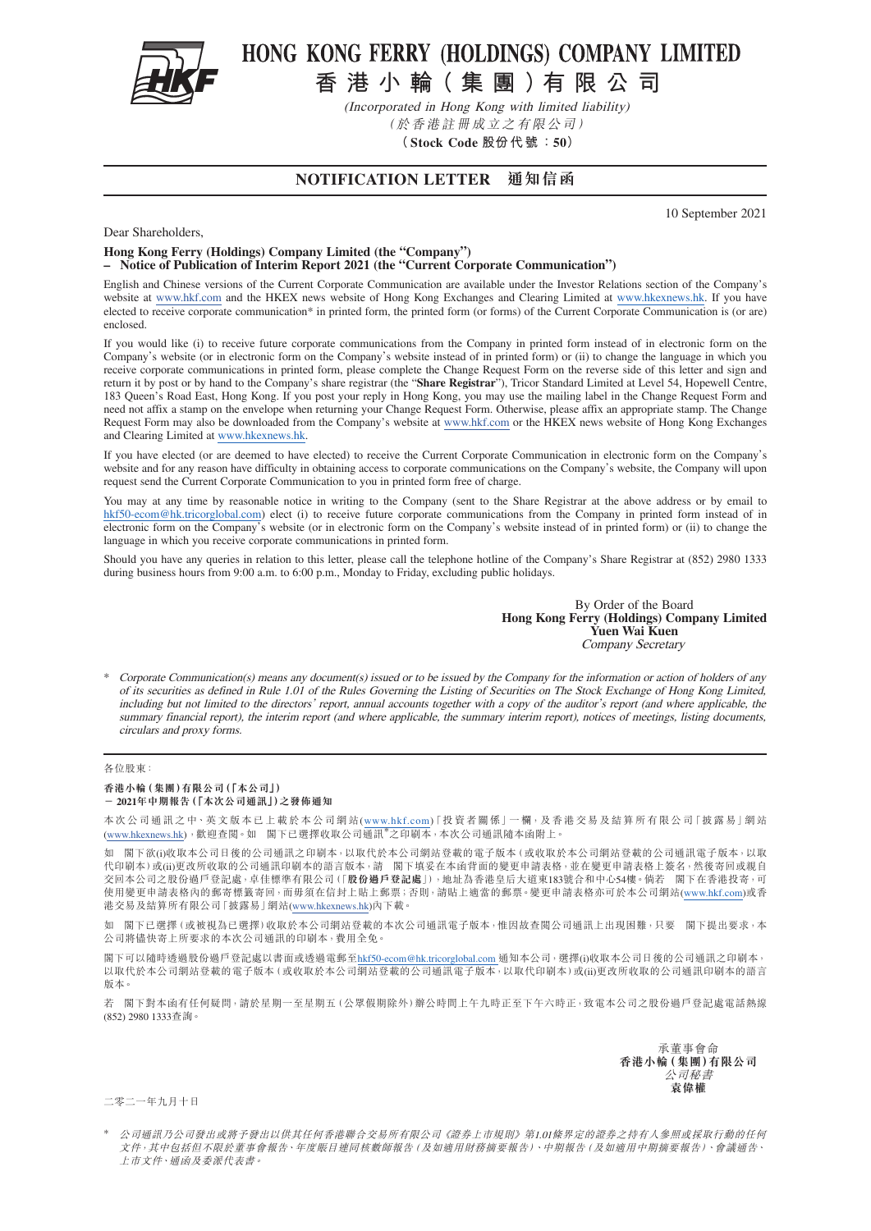

# HONG KONG FERRY (HOLDINGS) COMPANY LIMITED

**香港小輪( 集團)有限公司**

(Incorporated in Hong Kong with limited liability) (於香港註冊成立之有限公司)

**(Stock Code 股份代 號:50)**

## **NOTIFICATION LETTER 通知信函**

10 September 2021

Dear Shareholders,

#### **Hong Kong Ferry (Holdings) Company Limited (the "Company")**

**– Notice of Publication of Interim Report 2021 (the "Current Corporate Communication")**

English and Chinese versions of the Current Corporate Communication are available under the Investor Relations section of the Company's website at [www.hkf.com](http://www.hkf.com/en) and the HKEX news website of Hong Kong Exchanges and Clearing Limited at www.hkexnews.hk. If you have elected to receive corporate communication\* in printed form, the printed form (or forms) of the Current Corporate Communication is (or are) enclosed.

If you would like (i) to receive future corporate communications from the Company in printed form instead of in electronic form on the Company's website (or in electronic form on the Company's website instead of in printed form) or (ii) to change the language in which you receive corporate communications in printed form, please complete the Change Request Form on the reverse side of this letter and sign and return it by post or by hand to the Company's share registrar (the "**Share Registrar**"), Tricor Standard Limited at Level 54, Hopewell Centre, 183 Queen's Road East, Hong Kong. If you post your reply in Hong Kong, you may use the mailing label in the Change Request Form and need not affix a stamp on the envelope when returning your Change Request Form. Otherwise, please affix an appropriate stamp. The Change Request Form may also be downloaded from the Company's website at [www.hkf.com](http://www.hkf.com/en) or the HKEX news website of Hong Kong Exchanges and Clearing Limited at www.hkexnews.hk.

If you have elected (or are deemed to have elected) to receive the Current Corporate Communication in electronic form on the Company's website and for any reason have difficulty in obtaining access to corporate communications on the Company's website, the Company will upon request send the Current Corporate Communication to you in printed form free of charge.

You may at any time by reasonable notice in writing to the Company (sent to the Share Registrar at the above address or by email to [hkf50-ecom@hk.tricorglobal.com\)](mailto:hkf50-ecom%40hk.tricorglobal.com?subject=) elect (i) to receive future corporate communications from the Company in printed form instead of in electronic form on the Company's website (or in electronic form on the Company's website instead of in printed form) or (ii) to change the language in which you receive corporate communications in printed form.

Should you have any queries in relation to this letter, please call the telephone hotline of the Company's Share Registrar at (852) 2980 1333 during business hours from 9:00 a.m. to 6:00 p.m., Monday to Friday, excluding public holidays.

> By Order of the Board **Hong Kong Ferry (Holdings) Company Limited Yuen Wai Kuen** Company Secretary

Corporate Communication(s) means any document(s) issued or to be issued by the Company for the information or action of holders of any of its securities as defined in Rule 1.01 of the Rules Governing the Listing of Securities on The Stock Exchange of Hong Kong Limited, including but not limited to the directors' report, annual accounts together with a copy of the auditor's report (and where applicable, the summary financial report), the interim report (and where applicable, the summary interim report), notices of meetings, listing documents, circulars and proxy forms.

#### 各位股東:

## **香港小輪(集團)有限公司(「本公司」)**

**- 2021年中期報告(「本次公司通訊」)之發佈通知**

本次公司通訊之中、英文版本已上載於本公司網站(www.hkf.com)「投資者關係」一欄,及香港交易及結算所有限公司「披露易」網站 [\(www.hkexnews.hk](https://www.hkexnews.hk/index_c.htm)) ,歡迎查閱。如 閣下已選擇收取公司通訊\*之印刷本,本次公司通訊隨本函附上。

如 閣下欲(i)收取本公司日後的公司通訊之印刷本,以取代於本公司網站登載的電子版本(或收取於本公司網站登載的公司通訊電子版本,以取 代印刷本)或(ii)更改所收取的公司通訊印刷本的語言版本,請 閣下填妥在本函背面的變更申請表格,並在變更申請表格上簽名,然後寄回或親自 交回本公司之股份過戶登記處,卓佳標準有限公司(「**股份過戶登記處**」),地址為香港皇后大道東183號合和中心54樓。倘若 閣下在香港投寄,可 使用變更申請表格內的郵寄標籤寄回,而毋須在信封上貼上郵票;否則,請貼上適當的郵票。變更申請表格亦可於本公司網站(www.hkf.com)或香 港交易及結算所有限公司「披露易」網站([www.hkexnews.hk](https://www.hkexnews.hk/index_c.htm))內下載。

如 閣下已選擇(或被視為已選擇)收取於本公司網站登載的本次公司通訊電子版本,惟因故查閲公司通訊上出現困難,只要 閣下提出要求,本 公司將儘快寄上所要求的本次公司通訊的印刷本,費用全免。

閣下可以隨時透過股份過戶登記處以書面或透過電郵至[hkf50-ecom@hk.tricorglobal.com](mailto:hkf50-ecom%40hk.tricorglobal.com?subject=) 通知本公司,選擇(i)收取本公司日後的公司通訊之印刷本, 以取代於本公司網站登載的電子版本(或收取於本公司網站登載的公司通訊電子版本,以取代印刷本)或(ii)更改所收取的公司通訊印刷本的語言 版本。

若 閣下對本函有任何疑問,請於星期一至星期五(公眾假期除外)辦公時間上午九時正至下午六時正,致電本公司之股份過戶登記處電話熱線 (852) 2980 1333查詢。

> 承董事會命 **香港小輪(集團)有限公司** 公司秘書 **袁偉權**

二零二一年九月十日

公司通訊乃公司發出或將予發出以供其任何香港聯合交易所有限公司《證券上市規則》第1.01條界定的證券之持有人參照或採取行動的任何 文件,其中包括但不限於董事會報告、年度賬目連同核數師報告(及如適用財務摘要報告)、中期報告(及如適用中期摘要報告)、會議通告、 上市文件、通函及委派代表書。